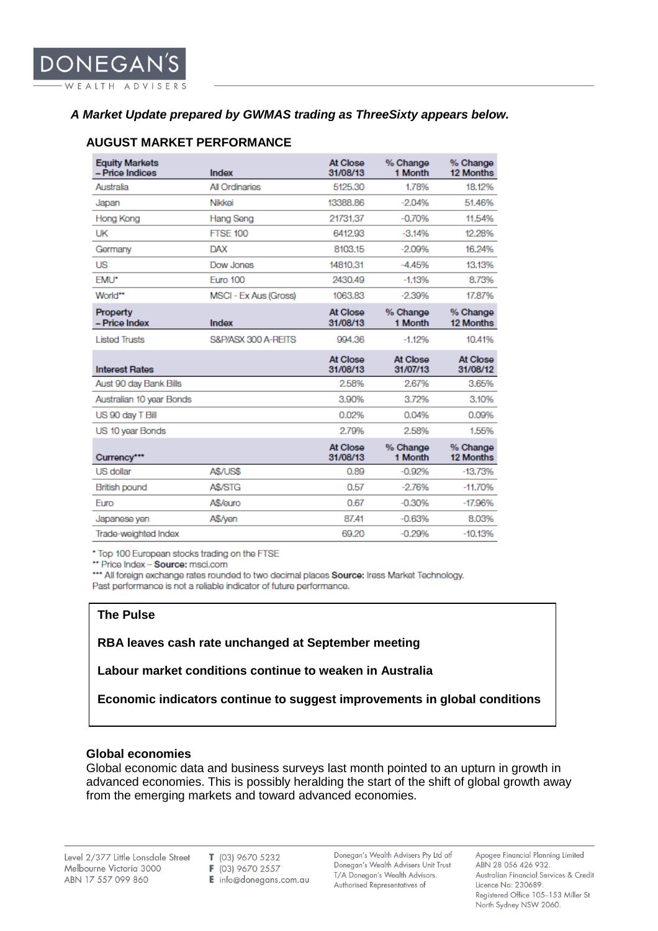## *A Market Update prepared by GWMAS trading as ThreeSixty appears below.*

| <b>Equity Markets</b><br>- Price Indices | Index                 | At Close<br>31/08/13 | % Change<br>1 Month  | % Change<br>12 Months        |
|------------------------------------------|-----------------------|----------------------|----------------------|------------------------------|
| Australia                                | All Ordinaries        | 5125.30              | 1.78%                | 18.12%                       |
| Japan                                    | Nikkei                | 13388.86             | $-2.04%$             | 51.46%                       |
| Hong Kong                                | Hang Seng             | 21731.37             | $-0.70%$             | 11.54%                       |
| UK                                       | <b>FTSE 100</b>       | 6412.93              | $-3.14%$             | 12.28%                       |
| Germany                                  | <b>DAX</b>            | 8103.15              | $-2.09%$             | 16.24%                       |
| <b>US</b>                                | Dow Jones             | 14810.31             | $-4.45%$             | 13.13%                       |
| <b>EMU*</b>                              | <b>Euro 100</b>       | 2430.49              | $-1.13%$             | 8.73%                        |
| World**                                  | MSCI - Ex Aus (Gross) | 1063.83              | $-2.39%$             | 17.87%                       |
| Property<br>- Price Index                | Index                 | At Close<br>31/08/13 | % Change<br>1 Month  | % Change<br><b>12 Months</b> |
| <b>Listed Trusts</b>                     | S&P/ASX 300 A-REITS   | 994.36               | $-1.12%$             | 10.41%                       |
| <b>Interest Rates</b>                    |                       | At Close<br>31/08/13 | At Close<br>31/07/13 | At Close<br>31/08/12         |
| Aust 90 day Bank Bills                   |                       | 2.58%                | 2.67%                | 3.65%                        |
| Australian 10 year Bonds                 |                       | 3.90%                | 3.72%                | 3.10%                        |
| US 90 day T Bill                         |                       | 0.02%                | 0.04%                | 0.09%                        |
| US 10 year Bonds                         |                       | 2.79%                | 2.58%                | 1.55%                        |
| Currency***                              |                       | At Close<br>31/08/13 | % Change<br>1 Month  | % Change<br>12 Months        |
| <b>US</b> dollar                         | A\$/US\$              | 0.89                 | $-0.92%$             | $-13.73%$                    |
| <b>British pound</b>                     | A\$/STG               | 0.57                 | $-2.76%$             | $-11.70%$                    |
| Euro                                     | A\$/euro              | 0.67                 | $-0.30%$             | $-17.96%$                    |
| Japanese yen                             | A\$/yen               | 87.41                | $-0.63%$             | 8.03%                        |
| Trade-weighted Index                     |                       | 69.20                | $-0.29%$             | $-10.13%$                    |

## **AUGUST MARKET PERFORMANCE**

\* Top 100 European stocks trading on the FTSE

\*\* Price Index - Source: msci.com

\*\*\* All foreign exchange rates rounded to two decimal places Source: Iress Market Technology. Past performance is not a reliable indicator of future performance.

## **The Pulse**

**RBA leaves cash rate unchanged at September meeting**

**Labour market conditions continue to weaken in Australia**

**Economic indicators continue to suggest improvements in global conditions**

## **Global economies**

Global economic data and business surveys last month pointed to an upturn in growth in advanced economies. This is possibly heralding the start of the shift of global growth away from the emerging markets and toward advanced economies.

T (03) 9670 5232 F (03) 9670 2557  $\mathbf{E}$  info@donegans.com.au

Donegan's Wealth Advisers Pty Ltd atf Donegan's Wealth Advisers Unit Trust T/A Donegan's Wealth Advisors. Authorised Representatives of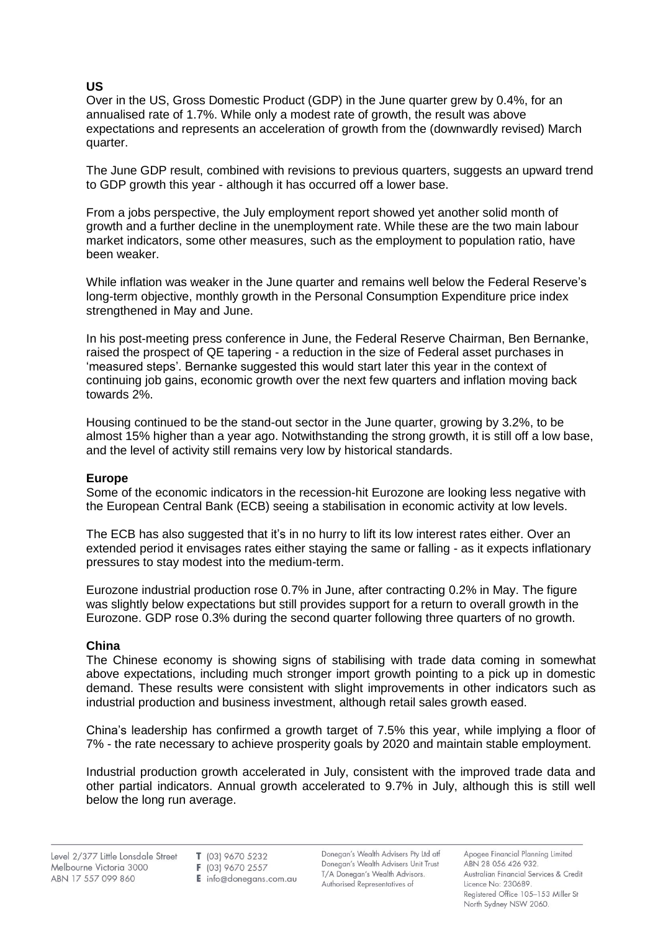# **US**

Over in the US, Gross Domestic Product (GDP) in the June quarter grew by 0.4%, for an annualised rate of 1.7%. While only a modest rate of growth, the result was above expectations and represents an acceleration of growth from the (downwardly revised) March quarter.

The June GDP result, combined with revisions to previous quarters, suggests an upward trend to GDP growth this year - although it has occurred off a lower base.

From a jobs perspective, the July employment report showed yet another solid month of growth and a further decline in the unemployment rate. While these are the two main labour market indicators, some other measures, such as the employment to population ratio, have been weaker.

While inflation was weaker in the June quarter and remains well below the Federal Reserve's long-term objective, monthly growth in the Personal Consumption Expenditure price index strengthened in May and June.

In his post-meeting press conference in June, the Federal Reserve Chairman, Ben Bernanke, raised the prospect of QE tapering - a reduction in the size of Federal asset purchases in 'measured steps'. Bernanke suggested this would start later this year in the context of continuing job gains, economic growth over the next few quarters and inflation moving back towards 2%.

Housing continued to be the stand-out sector in the June quarter, growing by 3.2%, to be almost 15% higher than a year ago. Notwithstanding the strong growth, it is still off a low base, and the level of activity still remains very low by historical standards.

## **Europe**

Some of the economic indicators in the recession-hit Eurozone are looking less negative with the European Central Bank (ECB) seeing a stabilisation in economic activity at low levels.

The ECB has also suggested that it's in no hurry to lift its low interest rates either. Over an extended period it envisages rates either staying the same or falling - as it expects inflationary pressures to stay modest into the medium-term.

Eurozone industrial production rose 0.7% in June, after contracting 0.2% in May. The figure was slightly below expectations but still provides support for a return to overall growth in the Eurozone. GDP rose 0.3% during the second quarter following three quarters of no growth.

## **China**

The Chinese economy is showing signs of stabilising with trade data coming in somewhat above expectations, including much stronger import growth pointing to a pick up in domestic demand. These results were consistent with slight improvements in other indicators such as industrial production and business investment, although retail sales growth eased.

China's leadership has confirmed a growth target of 7.5% this year, while implying a floor of 7% - the rate necessary to achieve prosperity goals by 2020 and maintain stable employment.

Industrial production growth accelerated in July, consistent with the improved trade data and other partial indicators. Annual growth accelerated to 9.7% in July, although this is still well below the long run average.

F (03) 9670 2557

 $E$  info@donegans.com.au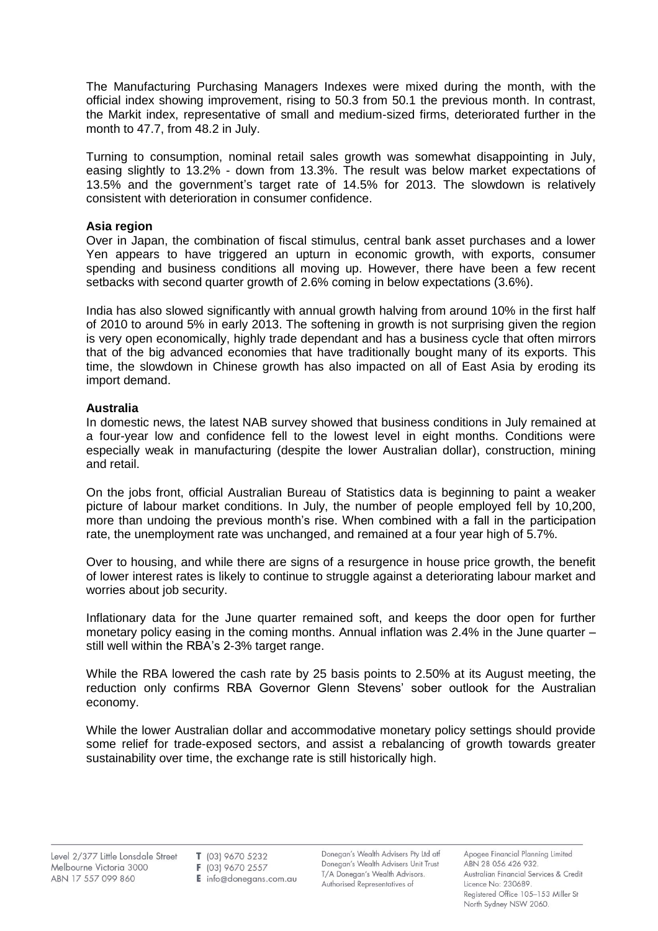The Manufacturing Purchasing Managers Indexes were mixed during the month, with the official index showing improvement, rising to 50.3 from 50.1 the previous month. In contrast, the Markit index, representative of small and medium-sized firms, deteriorated further in the month to 47.7, from 48.2 in July.

Turning to consumption, nominal retail sales growth was somewhat disappointing in July, easing slightly to 13.2% - down from 13.3%. The result was below market expectations of 13.5% and the government's target rate of 14.5% for 2013. The slowdown is relatively consistent with deterioration in consumer confidence.

## **Asia region**

Over in Japan, the combination of fiscal stimulus, central bank asset purchases and a lower Yen appears to have triggered an upturn in economic growth, with exports, consumer spending and business conditions all moving up. However, there have been a few recent setbacks with second quarter growth of 2.6% coming in below expectations (3.6%).

India has also slowed significantly with annual growth halving from around 10% in the first half of 2010 to around 5% in early 2013. The softening in growth is not surprising given the region is very open economically, highly trade dependant and has a business cycle that often mirrors that of the big advanced economies that have traditionally bought many of its exports. This time, the slowdown in Chinese growth has also impacted on all of East Asia by eroding its import demand.

## **Australia**

In domestic news, the latest NAB survey showed that business conditions in July remained at a four-year low and confidence fell to the lowest level in eight months. Conditions were especially weak in manufacturing (despite the lower Australian dollar), construction, mining and retail.

On the jobs front, official Australian Bureau of Statistics data is beginning to paint a weaker picture of labour market conditions. In July, the number of people employed fell by 10,200, more than undoing the previous month's rise. When combined with a fall in the participation rate, the unemployment rate was unchanged, and remained at a four year high of 5.7%.

Over to housing, and while there are signs of a resurgence in house price growth, the benefit of lower interest rates is likely to continue to struggle against a deteriorating labour market and worries about job security.

Inflationary data for the June quarter remained soft, and keeps the door open for further monetary policy easing in the coming months. Annual inflation was 2.4% in the June quarter – still well within the RBA's 2-3% target range.

While the RBA lowered the cash rate by 25 basis points to 2.50% at its August meeting, the reduction only confirms RBA Governor Glenn Stevens' sober outlook for the Australian economy.

While the lower Australian dollar and accommodative monetary policy settings should provide some relief for trade-exposed sectors, and assist a rebalancing of growth towards greater sustainability over time, the exchange rate is still historically high.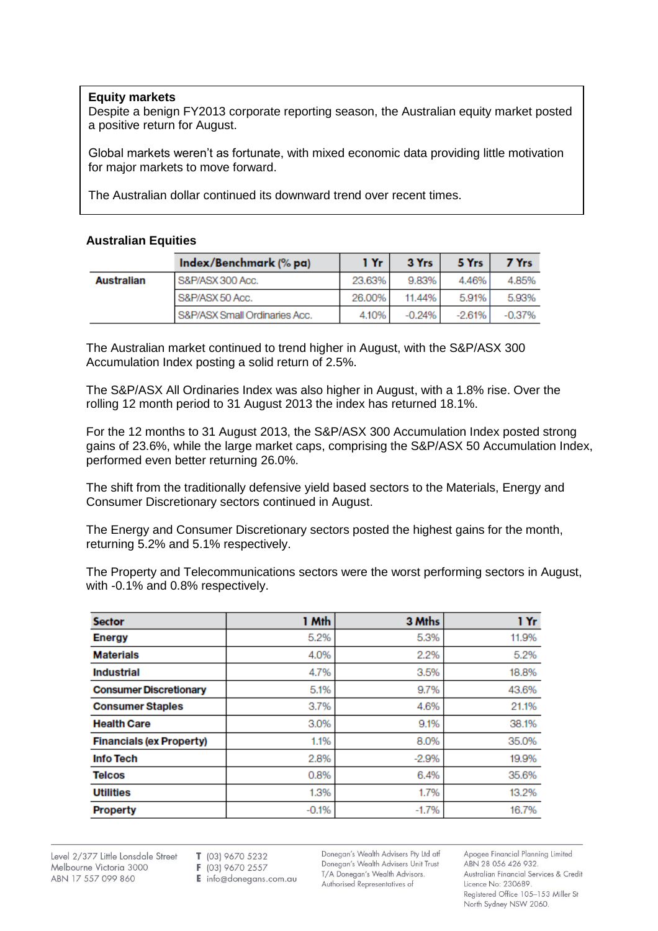#### **Equity markets**

Despite a benign FY2013 corporate reporting season, the Australian equity market posted a positive return for August.

Global markets weren't as fortunate, with mixed economic data providing little motivation for major markets to move forward.

The Australian dollar continued its downward trend over recent times.

#### **Australian Equities**

|                   | Index/Benchmark (% pa)        | 1 Yr   | 3 Yrs    | 5 Yrs    | 7 Yrs    |
|-------------------|-------------------------------|--------|----------|----------|----------|
| <b>Australian</b> | S&P/ASX 300 Acc.              | 23.63% | 9.83%    | 4.46%    | 4.85%    |
|                   | S&P/ASX 50 Acc.               | 26,00% | 11.44%   | 5.91%    | 5.93%    |
|                   | S&P/ASX Small Ordinaries Acc. | 4.10%  | $-0.24%$ | $-2.61%$ | $-0.37%$ |

The Australian market continued to trend higher in August, with the S&P/ASX 300 Accumulation Index posting a solid return of 2.5%.

The S&P/ASX All Ordinaries Index was also higher in August, with a 1.8% rise. Over the rolling 12 month period to 31 August 2013 the index has returned 18.1%.

For the 12 months to 31 August 2013, the S&P/ASX 300 Accumulation Index posted strong gains of 23.6%, while the large market caps, comprising the S&P/ASX 50 Accumulation Index, performed even better returning 26.0%.

The shift from the traditionally defensive yield based sectors to the Materials, Energy and Consumer Discretionary sectors continued in August.

The Energy and Consumer Discretionary sectors posted the highest gains for the month, returning 5.2% and 5.1% respectively.

The Property and Telecommunications sectors were the worst performing sectors in August, with -0.1% and 0.8% respectively.

| <b>Sector</b>                   | 1 Mth   | 3 Mths  | 1 Yr  |
|---------------------------------|---------|---------|-------|
| <b>Energy</b>                   | 5.2%    | 5.3%    | 11.9% |
| <b>Materials</b>                | 4.0%    | 2.2%    | 5.2%  |
| <b>Industrial</b>               | 4.7%    | 3.5%    | 18.8% |
| <b>Consumer Discretionary</b>   | 5.1%    | 9.7%    | 43.6% |
| <b>Consumer Staples</b>         | 3.7%    | 4.6%    | 21.1% |
| <b>Health Care</b>              | 3.0%    | 9.1%    | 38.1% |
| <b>Financials (ex Property)</b> | 1.1%    | 8.0%    | 35,0% |
| <b>Info Tech</b>                | 2.8%    | $-2.9%$ | 19.9% |
| <b>Telcos</b>                   | 0.8%    | 6.4%    | 35.6% |
| <b>Utilities</b>                | 1.3%    | 1.7%    | 13.2% |
| <b>Property</b>                 | $-0.1%$ | $-1.7%$ | 16.7% |

Level 2/377 Little Lonsdale Street Melbourne Victoria 3000 ABN 17 557 099 860

T (03) 9670 5232

F (03) 9670 2557

E info@donegans.com.au

Donegan's Wealth Advisers Pty Ltd atf Donegan's Wealth Advisers Unit Trust T/A Donegan's Wealth Advisors. Authorised Representatives of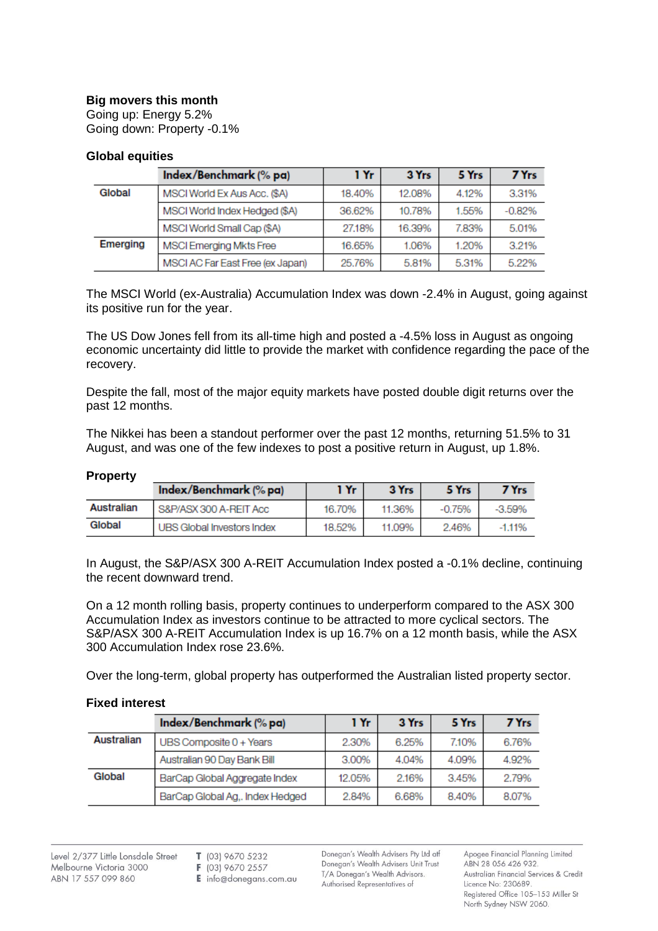## **Big movers this month**

Going up: Energy 5.2% Going down: Property -0.1%

## **Global equities**

|          | Index/Benchmark (% pa)           | 1 Yr   | 3 Yrs  | 5 Yrs | 7 Yrs    |
|----------|----------------------------------|--------|--------|-------|----------|
| Global   | MSCI World Ex Aus Acc. (\$A)     | 18,40% | 12.08% | 4.12% | 3.31%    |
|          | MSCI World Index Hedged (\$A)    | 36.62% | 10.78% | 1.55% | $-0.82%$ |
|          | MSCI World Small Cap (\$A)       | 27.18% | 16.39% | 7.83% | 5.01%    |
| Emerging | MSCI Emerging Mkts Free          | 16.65% | 1.06%  | 1.20% | 3.21%    |
|          | MSCI AC Far East Free (ex Japan) | 25.76% | 5.81%  | 5.31% | 5.22%    |

The MSCI World (ex-Australia) Accumulation Index was down -2.4% in August, going against its positive run for the year.

The US Dow Jones fell from its all-time high and posted a -4.5% loss in August as ongoing economic uncertainty did little to provide the market with confidence regarding the pace of the recovery.

Despite the fall, most of the major equity markets have posted double digit returns over the past 12 months.

The Nikkei has been a standout performer over the past 12 months, returning 51.5% to 31 August, and was one of the few indexes to post a positive return in August, up 1.8%.

#### **Property**

|            | Index/Benchmark (% pa)     | 1 Yr   | 3 Yrs  | 5 Yrs    | 7 Yrs     |
|------------|----------------------------|--------|--------|----------|-----------|
| Australian | S&P/ASX 300 A-REIT Acc     | 16.70% | 11.36% | $-0.75%$ | $-3.59\%$ |
| Global     | UBS Global Investors Index | 18.52% | 11.09% | 2.46%    | $-1.1196$ |

In August, the S&P/ASX 300 A-REIT Accumulation Index posted a -0.1% decline, continuing the recent downward trend.

On a 12 month rolling basis, property continues to underperform compared to the ASX 300 Accumulation Index as investors continue to be attracted to more cyclical sectors. The S&P/ASX 300 A-REIT Accumulation Index is up 16.7% on a 12 month basis, while the ASX 300 Accumulation Index rose 23.6%.

Over the long-term, global property has outperformed the Australian listed property sector.

#### **Fixed interest**

|            | Index/Benchmark (% pa)          | 1 Yr   | 3 Yrs | 5 Yrs | 7 Yrs |
|------------|---------------------------------|--------|-------|-------|-------|
| Australian | UBS Composite 0 + Years         | 2.30%  | 6.25% | 7.10% | 6.76% |
|            | Australian 90 Day Bank Bill     | 3.00%  | 4.04% | 4.09% | 4.92% |
| Global     | BarCap Global Aggregate Index   | 12.05% | 2.16% | 3.45% | 2.79% |
|            | BarCap Global Ag,. Index Hedged | 2.84%  | 6.68% | 8.40% | 8.07% |

- F (03) 9670 2557
- $E$  info@donegans.com.au

Donegan's Wealth Advisers Pty Ltd atf Donegan's Wealth Advisers Unit Trust T/A Donegan's Wealth Advisors. Authorised Representatives of